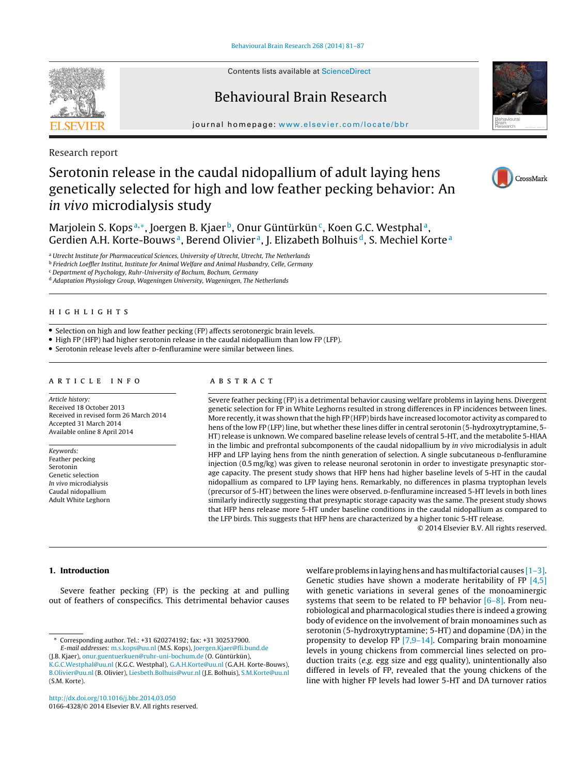Contents lists available at [ScienceDirect](http://www.sciencedirect.com/science/journal/01664328)

## Behavioural Brain Research

jour nal homepage: [www.elsevier.com/locate/bbr](http://www.elsevier.com/locate/bbr)

Research report

# Serotonin release in the caudal nidopallium of adult laying hens genetically selected for high and low feather pecking behavior: An in vivo microdialysis study

Marjolein S. Kops<sup>a,∗</sup>, Joergen B. Kjaer<sup>b</sup>, Onur Güntürkün<sup>c</sup>, Koen G.C. Westphal<sup>a</sup>, Gerdien A.H. Korte-Bouws<sup>a</sup>, Berend Olivier<sup>a</sup>, J. Elizabeth Bolhuis<sup>d</sup>, S. Mechiel Korte<sup>a</sup>

<sup>a</sup> Utrecht Institute for Pharmaceutical Sciences, University of Utrecht, Utrecht, The Netherlands

**b** Friedrich Loeffler Institut, Institute for Animal Welfare and Animal Husbandry, Celle, Germany

<sup>c</sup> Department of Psychology, Ruhr-University of Bochum, Bochum, Germany

<sup>d</sup> Adaptation Physiology Group, Wageningen University, Wageningen, The Netherlands

## h i g h l i g h t s

• Selection on high and low feather pecking (FP) affects serotonergic brain levels.

• High FP (HFP) had higher serotonin release in the caudal nidopallium than low FP (LFP).

• Serotonin release levels after D-fenfluramine were similar between lines.

## a r t i c l e i n f o

Article history: Received 18 October 2013 Received in revised form 26 March 2014 Accepted 31 March 2014 Available online 8 April 2014

Keywords: Feather pecking Serotonin Genetic selection In vivo microdialysis Caudal nidopallium Adult White Leghorn

## A B S T R A C T

Severe feather pecking (FP) is a detrimental behavior causing welfare problems in laying hens. Divergent genetic selection for FP in White Leghorns resulted in strong differences in FP incidences between lines. More recently, it was shown that the high FP (HFP) birds have increased locomotor activity as compared to hens of the low FP (LFP) line, but whether these lines differ in central serotonin (5-hydroxytryptamine, 5- HT) release is unknown. We compared baseline release levels of central 5-HT, and the metabolite 5-HIAA in the limbic and prefrontal subcomponents of the caudal nidopallium by in vivo microdialysis in adult HFP and LFP laying hens from the ninth generation of selection. A single subcutaneous p-fenfluramine injection (0.5 mg/kg) was given to release neuronal serotonin in order to investigate presynaptic storage capacity. The present study shows that HFP hens had higher baseline levels of 5-HT in the caudal nidopallium as compared to LFP laying hens. Remarkably, no differences in plasma tryptophan levels (precursor of 5-HT) between the lines were observed. D-fenfluramine increased 5-HT levels in both lines similarly indirectly suggesting that presynaptic storage capacity was the same. The present study shows that HFP hens release more 5-HT under baseline conditions in the caudal nidopallium as compared to the LFP birds. This suggests that HFP hens are characterized by a higher tonic 5-HT release.

© 2014 Elsevier B.V. All rights reserved.

## **1. Introduction**

Severe feather pecking (FP) is the pecking at and pulling out of feathers of conspecifics. This detrimental behavior causes

∗ Corresponding author. Tel.: +31 620274192; fax: +31 302537900. E-mail addresses: [m.s.kops@uu.nl](mailto:m.s.kops@uu.nl) (M.S. Kops), [Joergen.Kjaer@fli.bund.de](mailto:Joergen.Kjaer@fli.bund.de) (J.B. Kjaer), [onur.guentuerkuen@ruhr-uni-bochum.de](mailto:onur.guentuerkuen@ruhr-uni-bochum.de) (O. Güntürkün), [K.G.C.Westphal@uu.nl](mailto:K.G.C.Westphal@uu.nl) (K.G.C. Westphal), [G.A.H.Korte@uu.nl](mailto:G.A.H.Korte@uu.nl) (G.A.H. Korte-Bouws), welfare problems in laying hens and has multifactorial causes  $[1-3]$ . Genetic studies have shown a moderate heritability of FP  $[4,5]$ with genetic variations in several genes of the monoaminergic systems that seem to be related to FP behavior  $[6-8]$ . From neurobiological and pharmacological studies there is indeed a growing body of evidence on the involvement of brain monoamines such as serotonin (5-hydroxytryptamine; 5-HT) and dopamine (DA) in the propensity to develop FP [\[7,9–14\].](#page-5-0) Comparing brain monoamine levels in young chickens from commercial lines selected on production traits (e.g. egg size and egg quality), unintentionally also differed in levels of FP, revealed that the young chickens of the line with higher FP levels had lower 5-HT and DA turnover ratios







[B.Olivier@uu.nl](mailto:B.Olivier@uu.nl) (B. Olivier), [Liesbeth.Bolhuis@wur.nl](mailto:Liesbeth.Bolhuis@wur.nl) (J.E. Bolhuis), [S.M.Korte@uu.nl](mailto:S.M.Korte@uu.nl) (S.M. Korte).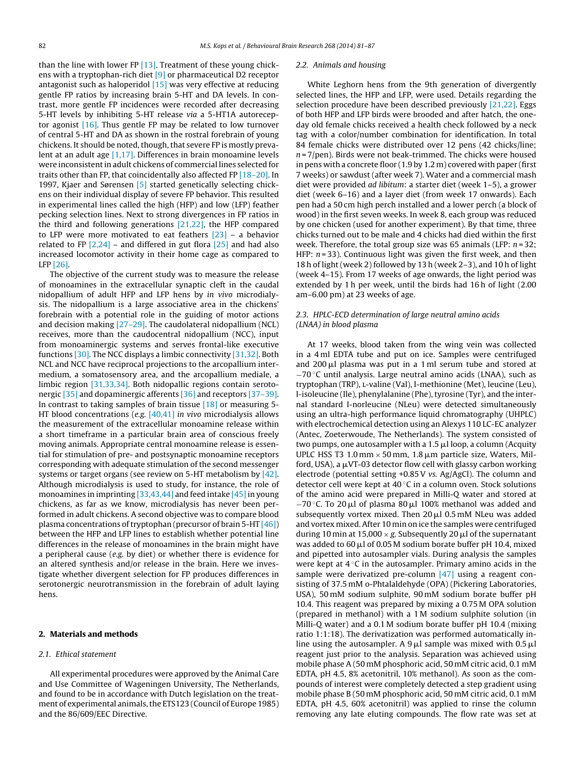than the line with lower FP [\[13\].](#page-5-0) Treatment of these young chickens with a tryptophan-rich diet [\[9\]](#page-5-0) or pharmaceutical D2 receptor antagonist such as haloperidol  $[15]$  was very effective at reducing gentle FP ratios by increasing brain 5-HT and DA levels. In contrast, more gentle FP incidences were recorded after decreasing 5-HT levels by inhibiting 5-HT release via a 5-HT1A autoreceptor agonist [\[16\].](#page-5-0) Thus gentle FP may be related to low turnover of central 5-HT and DA as shown in the rostral forebrain of young chickens. It should be noted, though, that severe FP is mostly prevalent at an adult age [\[1,17\].](#page-5-0) Differences in brain monoamine levels were inconsistent in adult chickens of commercial lines selected for traits other than FP, that coincidentally also affected FP [\[18–20\].](#page-5-0) In 1997, Kjaer and Sørensen [\[5\]](#page-5-0) started genetically selecting chickens on their individual display of severe FP behavior. This resulted in experimental lines called the high (HFP) and low (LFP) feather pecking selection lines. Next to strong divergences in FP ratios in the third and following generations [\[21,22\],](#page-5-0) the HFP compared to LFP were more motivated to eat feathers [\[23\]](#page-5-0) – a behavior related to FP  $[2,24]$  – and differed in gut flora  $[25]$  and had also increased locomotor activity in their home cage as compared to LFP [\[26\].](#page-6-0)

The objective of the current study was to measure the release of monoamines in the extracellular synaptic cleft in the caudal nidopallium of adult HFP and LFP hens by in vivo microdialysis. The nidopallium is a large associative area in the chickens' forebrain with a potential role in the guiding of motor actions and decision making [\[27–29\].](#page-6-0) The caudolateral nidopallium (NCL) receives, more than the caudocentral nidopallium (NCC), input from monoaminergic systems and serves frontal-like executive functions [\[30\].](#page-6-0) The NCC displays a limbic connectivity [\[31,32\].](#page-6-0) Both NCL and NCC have reciprocal projections to the arcopallium intermedium, a somatosensory area, and the arcopallium mediale, a limbic region [\[31,33,34\].](#page-6-0) Both nidopallic regions contain serotonergic [\[35\]](#page-6-0) and dopaminergic afferents [\[36\]](#page-6-0) and receptors [\[37–39\].](#page-6-0) In contrast to taking samples of brain tissue [\[18\]](#page-5-0) or measuring 5- HT blood concentrations (e.g. [\[40,41\]](#page-6-0) in vivo microdialysis allows the measurement of the extracellular monoamine release within a short timeframe in a particular brain area of conscious freely moving animals. Appropriate central monoamine release is essential for stimulation of pre- and postsynaptic monoamine receptors corresponding with adequate stimulation of the second messenger systems or target organs (see review on 5-HT metabolism by [\[42\].](#page-6-0) Although microdialysis is used to study, for instance, the role of monoamines in imprinting  $[33,43,44]$  and feed intake  $[45]$  in young chickens, as far as we know, microdialysis has never been performed in adult chickens. A second objective was to compare blood plasma concentrations of tryptophan (precursor of brain 5-HT [\[46\]\)](#page-6-0) between the HFP and LFP lines to establish whether potential line differences in the release of monoamines in the brain might have a peripheral cause (e.g. by diet) or whether there is evidence for an altered synthesis and/or release in the brain. Here we investigate whether divergent selection for FP produces differences in serotonergic neurotransmission in the forebrain of adult laying hens.

#### **2. Materials and methods**

#### 2.1. Ethical statement

All experimental procedures were approved by the Animal Care and Use Committee of Wageningen University, The Netherlands, and found to be in accordance with Dutch legislation on the treatment of experimental animals, the ETS123 (Council of Europe 1985) and the 86/609/EEC Directive.

#### 2.2. Animals and housing

White Leghorn hens from the 9th generation of divergently selected lines, the HFP and LFP, were used. Details regarding the selection procedure have been described previously [\[21,22\].](#page-5-0) Eggs of both HFP and LFP birds were brooded and after hatch, the oneday old female chicks received a health check followed by a neck tag with a color/number combination for identification. In total 84 female chicks were distributed over 12 pens (42 chicks/line;  $n = 7$ /pen). Birds were not beak-trimmed. The chicks were housed in pens with a concrete floor (1.9 by 1.2 m) covered with paper (first 7 weeks) or sawdust (after week 7). Water and a commercial mash diet were provided ad libitum: a starter diet (week 1–5), a grower diet (week 6–16) and a layer diet (from week 17 onwards). Each pen had a 50 cm high perch installed and a lower perch (a block of wood) in the first seven weeks. In week 8, each group was reduced by one chicken (used for another experiment). By that time, three chicks turned out to be male and 4 chicks had died within the first week. Therefore, the total group size was 65 animals (LFP:  $n = 32$ ; HFP:  $n = 33$ ). Continuous light was given the first week, and then 18 h of light (week 2) followed by 13 h (week 2–3), and 10 h of light (week 4–15). From 17 weeks of age onwards, the light period was extended by 1 h per week, until the birds had 16 h of light (2.00 am–6.00 pm) at 23 weeks of age.

## 2.3. HPLC-ECD determination of large neutral amino acids (LNAA) in blood plasma

At 17 weeks, blood taken from the wing vein was collected in a 4 ml EDTA tube and put on ice. Samples were centrifuged and 200  $\mu$ l plasma was put in a 1 ml serum tube and stored at −70 ◦C until analysis. Large neutral amino acids (LNAA), such as tryptophan (TRP), l-valine (Val), I-methionine (Met), leucine (Leu), I-isoleucine (Ile), phenylalanine (Phe), tyrosine (Tyr), and the internal standard I-norleucine (NLeu) were detected simultaneously using an ultra-high performance liquid chromatography (UHPLC) with electrochemical detection using an Alexys 110 LC-EC analyzer (Antec, Zoeterwoude, The Netherlands). The system consisted of two pumps, one autosampler with a 1.5  $\mu$ l loop, a column (Acquity UPLC HSS T3 1.0 mm  $\times$  50 mm, 1.8  $\mu$ m particle size, Waters, Milford, USA), a  $\mu$ VT-03 detector flow cell with glassy carbon working electrode (potential setting +0.85V vs. Ag/AgCl). The column and detector cell were kept at  $40^{\circ}$ C in a column oven. Stock solutions of the amino acid were prepared in Milli-Q water and stored at  $-70$  °C. To 20  $\mu$ l of plasma 80  $\mu$ l 100% methanol was added and subsequently vortex mixed. Then 20 µl 0.5 mM NLeu was added and vortex mixed. After 10 min on ice the samples were centrifuged during 10 min at 15,000  $\times$  g. Subsequently 20  $\mu$ l of the supernatant was added to 60  $\mu$ l of 0.05 M sodium borate buffer pH 10.4, mixed and pipetted into autosampler vials. During analysis the samples were kept at 4 ℃ in the autosampler. Primary amino acids in the sample were derivatized pre-column [\[47\]](#page-6-0) using a reagent consisting of 37.5 mM o-Phtalaldehyde (OPA) (Pickering Laboratories, USA), 50 mM sodium sulphite, 90 mM sodium borate buffer pH 10.4. This reagent was prepared by mixing a 0.75 M OPA solution (prepared in methanol) with a 1 M sodium sulphite solution (in Milli-Q water) and a 0.1 M sodium borate buffer pH 10.4 (mixing ratio 1:1:18). The derivatization was performed automatically inline using the autosampler. A  $9\,\mu$ l sample was mixed with 0.5  $\mu$ l reagent just prior to the analysis. Separation was achieved using mobile phase A (50 mM phosphoric acid, 50 mM citric acid, 0.1 mM EDTA, pH 4.5, 8% acetonitril, 10% methanol). As soon as the compounds of interest were completely detected a step gradient using mobile phase B (50 mM phosphoric acid, 50 mM citric acid, 0.1 mM EDTA, pH 4.5, 60% acetonitril) was applied to rinse the column removing any late eluting compounds. The flow rate was set at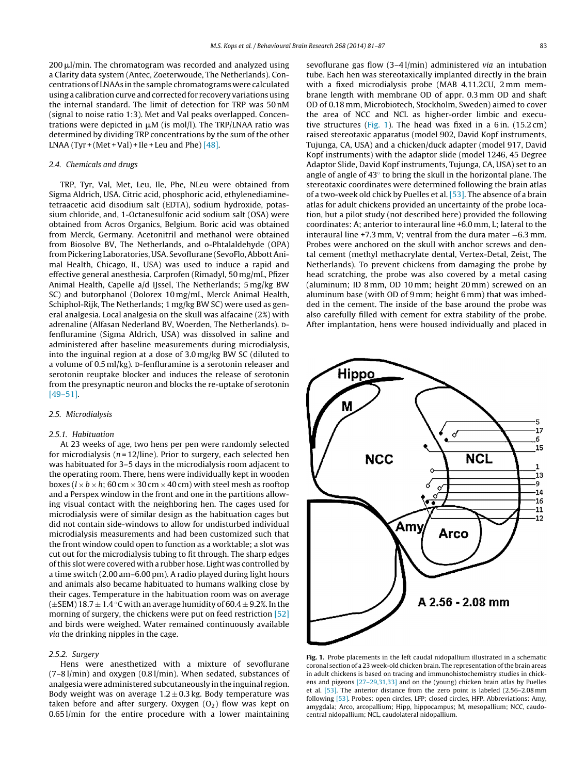<span id="page-2-0"></span>200 µl/min. The chromatogram was recorded and analyzed using a Clarity data system (Antec, Zoeterwoude, The Netherlands). Concentrations of LNAAs in the sample chromatograms were calculated using a calibration curve and corrected for recovery variations using the internal standard. The limit of detection for TRP was 50 nM (signal to noise ratio 1:3). Met and Val peaks overlapped. Concentrations were depicted in  $\mu$ M (is mol/l). The TRP/LNAA ratio was determined by dividing TRP concentrations by the sum of the other LNAA (Tyr + (Met + Val) + Ile + Leu and Phe)  $[48]$ .

#### 2.4. Chemicals and drugs

TRP, Tyr, Val, Met, Leu, Ile, Phe, NLeu were obtained from Sigma Aldrich, USA. Citric acid, phosphoric acid, ethylenediaminetetraacetic acid disodium salt (EDTA), sodium hydroxide, potassium chloride, and, 1-Octanesulfonic acid sodium salt (OSA) were obtained from Acros Organics, Belgium. Boric acid was obtained from Merck, Germany. Acetonitril and methanol were obtained from Biosolve BV, The Netherlands, and o-Phtalaldehyde (OPA) fromPickering Laboratories, USA. Sevoflurane (SevoFlo,AbbottAnimal Health, Chicago, IL, USA) was used to induce a rapid and effective general anesthesia. Carprofen (Rimadyl, 50 mg/mL, Pfizer Animal Health, Capelle a/d IJssel, The Netherlands; 5 mg/kg BW SC) and butorphanol (Dolorex 10 mg/mL, Merck Animal Health, Schiphol-Rijk, The Netherlands; 1 mg/kg BW SC) were used as general analgesia. Local analgesia on the skull was alfacaine (2%) with adrenaline (Alfasan Nederland BV, Woerden, The Netherlands). Dfenfluramine (Sigma Aldrich, USA) was dissolved in saline and administered after baseline measurements during microdialysis, into the inguinal region at a dose of 3.0 mg/kg BW SC (diluted to a volume of  $0.5$  ml/kg).  $p$ -fenfluramine is a serotonin releaser and serotonin reuptake blocker and induces the release of serotonin from the presynaptic neuron and blocks the re-uptake of serotonin [\[49–51\].](#page-6-0)

## 2.5. Microdialysis

## 2.5.1. Habituation

At 23 weeks of age, two hens per pen were randomly selected for microdialysis ( $n = 12$ /line). Prior to surgery, each selected hen was habituated for 3–5 days in the microdialysis room adjacent to the operating room. There, hens were individually kept in wooden boxes ( $l \times b \times h$ ; 60 cm  $\times$  30 cm  $\times$  40 cm) with steel mesh as rooftop and a Perspex window in the front and one in the partitions allowing visual contact with the neighboring hen. The cages used for microdialysis were of similar design as the habituation cages but did not contain side-windows to allow for undisturbed individual microdialysis measurements and had been customized such that the front window could open to function as a worktable; a slot was cut out for the microdialysis tubing to fit through. The sharp edges ofthis slot were covered with a rubber hose. Light was controlled by a time switch (2.00 am–6.00 pm). A radio played during light hours and animals also became habituated to humans walking close by their cages. Temperature in the habituation room was on average  $(\pm$ SEM) 18.7  $\pm$  1.4 °C with an average humidity of 60.4  $\pm$  9.2%. In the morning of surgery, the chickens were put on feed restriction [\[52\]](#page-6-0) and birds were weighed. Water remained continuously available via the drinking nipples in the cage.

## 2.5.2. Surgery

Hens were anesthetized with a mixture of sevoflurane (7–8 l/min) and oxygen (0.8 l/min). When sedated, substances of analgesia were administered subcutaneously in the inguinal region. Body weight was on average  $1.2 \pm 0.3$  kg. Body temperature was taken before and after surgery. Oxygen  $(O_2)$  flow was kept on 0.65 l/min for the entire procedure with a lower maintaining sevoflurane gas flow (3–4 l/min) administered via an intubation tube. Each hen was stereotaxically implanted directly in the brain with a fixed microdialysis probe (MAB 4.11.2CU, 2 mm membrane length with membrane OD of appr. 0.3 mm OD and shaft OD of 0.18 mm, Microbiotech, Stockholm, Sweden) aimed to cover the area of NCC and NCL as higher-order limbic and executive structures (Fig. 1). The head was fixed in a 6in.  $(15.2 \text{ cm})$ raised stereotaxic apparatus (model 902, David Kopf instruments, Tujunga, CA, USA) and a chicken/duck adapter (model 917, David Kopf instruments) with the adaptor slide (model 1246, 45 Degree Adaptor Slide, David Kopf instruments, Tujunga, CA, USA) set to an angle of angle of 43◦ to bring the skull in the horizontal plane. The stereotaxic coordinates were determined following the brain atlas of a two-week old chick by Puelles et al. [\[53\].](#page-6-0) The absence of a brain atlas for adult chickens provided an uncertainty of the probe location, but a pilot study (not described here) provided the following coordinates: A; anterior to interaural line +6.0 mm, L; lateral to the interaural line +7.3 mm, V; ventral from the dura mater −6.3 mm. Probes were anchored on the skull with anchor screws and dental cement (methyl methacrylate dental, Vertex-Detal, Zeist, The Netherlands). To prevent chickens from damaging the probe by head scratching, the probe was also covered by a metal casing (aluminum; ID 8 mm, OD 10 mm; height 20 mm) screwed on an aluminum base (with OD of 9 mm; height 6 mm) that was imbedded in the cement. The inside of the base around the probe was also carefully filled with cement for extra stability of the probe. After implantation, hens were housed individually and placed in



**Fig. 1.** Probe placements in the left caudal nidopallium illustrated in a schematic coronal section of a 23 week-old chicken brain. The representation of the brain areas in adult chickens is based on tracing and immunohistochemistry studies in chickens and pigeons [\[27–29,31,33\]](#page-6-0) and on the (young) chicken brain atlas by Puelles et al. [\[53\].](#page-6-0) The anterior distance from the zero point is labeled (2.56–2.08 mm following [\[53\].](#page-6-0) Probes: open circles, LFP; closed circles, HFP. Abbreviations: Amy, amygdala; Arco, arcopallium; Hipp, hippocampus; M, mesopallium; NCC, caudocentral nidopallium; NCL, caudolateral nidopallium.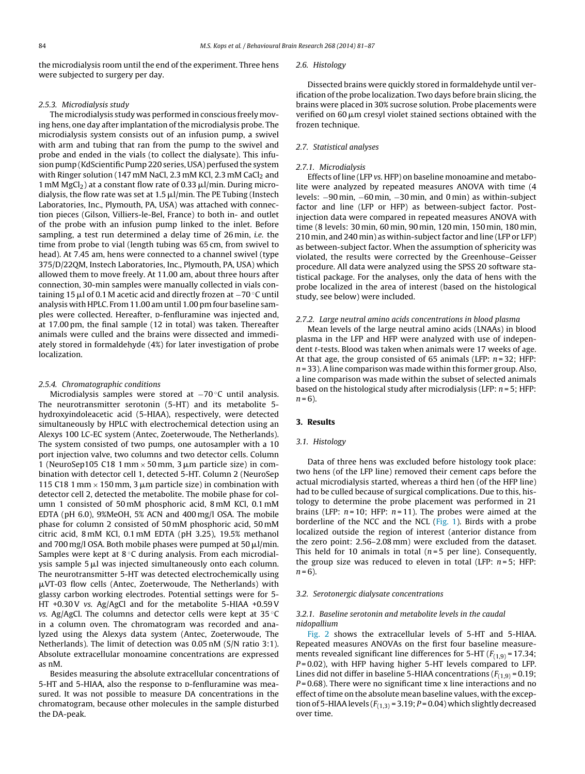the microdialysis room until the end of the experiment. Three hens were subjected to surgery per day.

#### 2.5.3. Microdialysis study

The microdialysis study was performed in conscious freely moving hens, one day after implantation of the microdialysis probe. The microdialysis system consists out of an infusion pump, a swivel with arm and tubing that ran from the pump to the swivel and probe and ended in the vials (to collect the dialysate). This infusion pump (KdScientific Pump 220 series, USA) perfused the system with Ringer solution (147 mM NaCl, 2.3 mM KCl, 2.3 mM CaCl<sub>2</sub> and 1 mM MgCl<sub>2</sub>) at a constant flow rate of 0.33  $\mu$ l/min. During microdialysis, the flow rate was set at 1.5  $\mu$ l/min. The PE Tubing (Instech Laboratories, Inc., Plymouth, PA, USA) was attached with connection pieces (Gilson, Villiers-le-Bel, France) to both in- and outlet of the probe with an infusion pump linked to the inlet. Before sampling, a test run determined a delay time of 26 min, *i.e.* the time from probe to vial (length tubing was 65 cm, from swivel to head). At 7.45 am, hens were connected to a channel swivel (type 375/D/22QM, Instech Laboratories, Inc., Plymouth, PA, USA) which allowed them to move freely. At 11.00 am, about three hours after connection, 30-min samples were manually collected in vials containing 15  $\mu$ l of 0.1 M acetic acid and directly frozen at −70  $^{\circ}$ C until analysis with HPLC. From 11.00 am until 1.00 pm four baseline samples were collected. Hereafter, p-fenfluramine was injected and, at 17.00 pm, the final sample (12 in total) was taken. Thereafter animals were culled and the brains were dissected and immediately stored in formaldehyde (4%) for later investigation of probe localization.

#### 2.5.4. Chromatographic conditions

Microdialysis samples were stored at −70 °C until analysis. The neurotransmitter serotonin (5-HT) and its metabolite 5 hydroxyindoleacetic acid (5-HIAA), respectively, were detected simultaneously by HPLC with electrochemical detection using an Alexys 100 LC-EC system (Antec, Zoeterwoude, The Netherlands). The system consisted of two pumps, one autosampler with a 10 port injection valve, two columns and two detector cells. Column 1 (NeuroSep105 C18 1 mm  $\times$  50 mm, 3 µm particle size) in combination with detector cell 1, detected 5-HT. Column 2 (NeuroSep 115 C18 1 mm  $\times$  150 mm, 3 µm particle size) in combination with detector cell 2, detected the metabolite. The mobile phase for column 1 consisted of 50 mM phosphoric acid, 8 mM KCl, 0.1 mM EDTA (pH 6.0), 9%MeOH, 5% ACN and 400 mg/l OSA. The mobile phase for column 2 consisted of 50 mM phosphoric acid, 50 mM citric acid, 8 mM KCl, 0.1 mM EDTA (pH 3.25), 19.5% methanol and 700 mg/l OSA. Both mobile phases were pumped at 50  $\mu$ l/min. Samples were kept at 8 °C during analysis. From each microdialysis sample 5 µl was injected simultaneously onto each column. The neurotransmitter 5-HT was detected electrochemically using  $\mu$ VT-03 flow cells (Antec, Zoeterwoude, The Netherlands) with glassy carbon working electrodes. Potential settings were for 5- HT +0.30V vs. Ag/AgCl and for the metabolite 5-HIAA +0.59V vs. Ag/AgCl. The columns and detector cells were kept at  $35^{\circ}$ C in a column oven. The chromatogram was recorded and analyzed using the Alexys data system (Antec, Zoeterwoude, The Netherlands). The limit of detection was 0.05 nM (S/N ratio 3:1). Absolute extracellular monoamine concentrations are expressed as nM.

Besides measuring the absolute extracellular concentrations of 5-HT and 5-HIAA, also the response to D-fenfluramine was measured. It was not possible to measure DA concentrations in the chromatogram, because other molecules in the sample disturbed the DA-peak.

#### 2.6. Histology

Dissected brains were quickly stored in formaldehyde until verification of the probe localization. Two days before brain slicing, the brains were placed in 30% sucrose solution. Probe placements were verified on 60  $\mu$ m cresyl violet stained sections obtained with the frozen technique.

## 2.7. Statistical analyses

#### 2.7.1. Microdialysis

Effects of line (LFP vs. HFP) on baseline monoamine and metabolite were analyzed by repeated measures ANOVA with time (4 levels: −90 min, −60 min, −30 min, and 0 min) as within-subject factor and line (LFP or HFP) as between-subject factor. Postinjection data were compared in repeated measures ANOVA with time (8 levels: 30 min, 60 min, 90 min, 120 min, 150 min, 180 min, 210 min, and 240 min) as within-subject factor and line (LFP or LFP) as between-subject factor. When the assumption of sphericity was violated, the results were corrected by the Greenhouse–Geisser procedure. All data were analyzed using the SPSS 20 software statistical package. For the analyses, only the data of hens with the probe localized in the area of interest (based on the histological study, see below) were included.

#### 2.7.2. Large neutral amino acids concentrations in blood plasma

Mean levels of the large neutral amino acids (LNAAs) in blood plasma in the LFP and HFP were analyzed with use of independent t-tests. Blood was taken when animals were 17 weeks of age. At that age, the group consisted of 65 animals (LFP:  $n = 32$ : HFP:  $n = 33$ ). A line comparison was made within this former group. Also, a line comparison was made within the subset of selected animals based on the histological study after microdialysis (LFP:  $n = 5$ ; HFP:  $n = 6$ ).

#### **3. Results**

## 3.1. Histology

Data of three hens was excluded before histology took place: two hens (of the LFP line) removed their cement caps before the actual microdialysis started, whereas a third hen (of the HFP line) had to be culled because of surgical complications. Due to this, histology to determine the probe placement was performed in 21 brains (LFP:  $n = 10$ ; HFP:  $n = 11$ ). The probes were aimed at the borderline of the NCC and the NCL ([Fig.](#page-2-0) 1). Birds with a probe localized outside the region of interest (anterior distance from the zero point: 2.56–2.08 mm) were excluded from the dataset. This held for 10 animals in total ( $n=5$  per line). Consequently, the group size was reduced to eleven in total (LFP:  $n = 5$ ; HFP:  $n = 6$ ).

#### 3.2. Serotonergic dialysate concentrations

## 3.2.1. Baseline serotonin and metabolite levels in the caudal nidopallium

[Fig.](#page-4-0) 2 shows the extracellular levels of 5-HT and 5-HIAA. Repeated measures ANOVAs on the first four baseline measurements revealed significant line differences for 5-HT  $(F_{(1,9)} = 17.34;$  $P = 0.02$ ), with HFP having higher 5-HT levels compared to LFP. Lines did not differ in baseline 5-HIAA concentrations  $(F_{(1,9)} = 0.19;$  $P = 0.68$ ). There were no significant time x line interactions and no effect of time on the absolute mean baseline values, with the exception of 5-HIAA levels ( $F_{(1,3)}$  = 3.19;  $P$  = 0.04) which slightly decreased over time.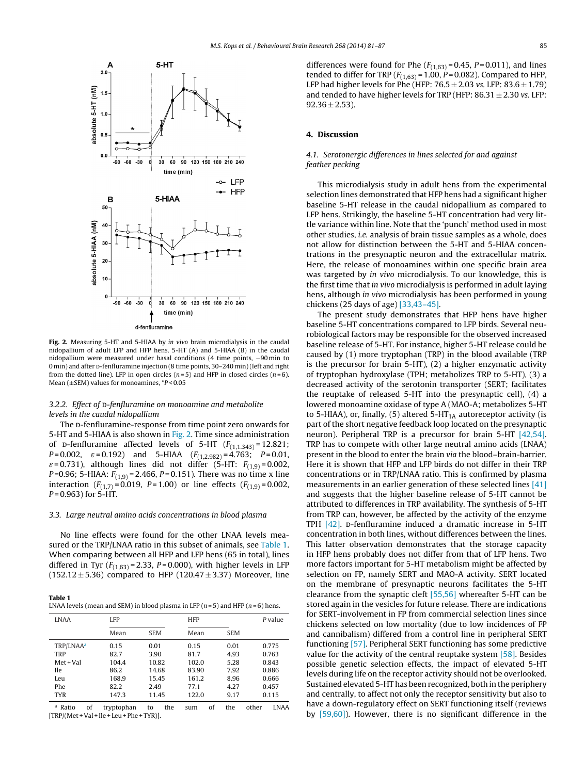<span id="page-4-0"></span>

**Fig. 2.** Measuring 5-HT and 5-HIAA by in vivo brain microdialysis in the caudal nidopallium of adult LFP and HFP hens. 5-HT (A) and 5-HIAA (B) in the caudal nidopallium were measured under basal conditions (4 time points, −90 min to 0 min) and after D-fenfluramine injection (8 time points,  $30-240$  min) (left and right from the dotted line). LFP in open circles  $(n=5)$  and HFP in closed circles  $(n=6)$ . Mean ( $\pm$ SEM) values for monoamines,  $*P$  < 0.05

## 3.2.2. Effect of p-fenfluramine on monoamine and metabolite levels in the caudal nidopallium

The D-fenfluramine-response from time point zero onwards for 5-HT and 5-HIAA is also shown in Fig. 2. Time since administration of p-fenfluramine affected levels of 5-HT  $(F_{(1,1,343)} = 12.821;$  $P = 0.002$ ,  $\varepsilon = 0.192$ ) and 5-HIAA  $(F_{(1,2.982)} = 4.763; P = 0.01$ ,  $\varepsilon$  = 0.731), although lines did not differ (5-HT:  $F_{(1,9)}$  = 0.002, P=0.96; 5-HIAA:  $F_{(1,9)}$  = 2.466, P = 0.151). There was no time x line interaction  $(F_{(1,7)} = 0.019, P = 1.00)$  or line effects  $(F_{(1,9)} = 0.002, P = 0.001)$  $P = 0.963$ ) for 5-HT.

#### 3.3. Large neutral amino acids concentrations in blood plasma

No line effects were found for the other LNAA levels measured or the TRP/LNAA ratio in this subset of animals, see Table 1. When comparing between all HFP and LFP hens (65 in total), lines differed in Tyr  $(F_{(1,63)} = 2.33, P = 0.000)$ , with higher levels in LFP  $(152.12 \pm 5.36)$  compared to HFP  $(120.47 \pm 3.37)$  Moreover, line

**Table 1** LNAA levels (mean and SEM) in blood plasma in LFP ( $n = 5$ ) and HFP ( $n = 6$ ) hens.

| <b>LNAA</b>           | LFP   |            | <b>HFP</b> |            | P value |
|-----------------------|-------|------------|------------|------------|---------|
|                       | Mean  | <b>SEM</b> | Mean       | <b>SEM</b> |         |
| TRP/LNAA <sup>a</sup> | 0.15  | 0.01       | 0.15       | 0.01       | 0.775   |
| <b>TRP</b>            | 82.7  | 3.90       | 81.7       | 4.93       | 0.763   |
| Met + Val             | 104.4 | 10.82      | 102.0      | 5.28       | 0.843   |
| <b>Ile</b>            | 86.2  | 14.68      | 83.90      | 7.92       | 0.886   |
| Leu                   | 168.9 | 15.45      | 161.2      | 8.96       | 0.666   |
| Phe                   | 82.2  | 2.49       | 77.1       | 4.27       | 0.457   |
| <b>TYR</b>            | 147.3 | 11.45      | 122.0      | 9.17       | 0.115   |

<sup>a</sup> Ratio of tryptophan to the sum of the other LNAA  $[TRP/(Met + Val + I]e + Leu + Phe + TYR)].$ 

differences were found for Phe  $(F_{(1,63)} = 0.45, P = 0.011)$ , and lines tended to differ for TRP ( $F_{(1,63)}$  = 1.00, P = 0.082). Compared to HFP, LFP had higher levels for Phe (HFP:  $76.5 \pm 2.03$  vs. LFP:  $83.6 \pm 1.79$ ) and tended to have higher levels for TRP (HFP:  $86.31 \pm 2.30$  vs. LFP:  $92.36 \pm 2.53$ ).

## **4. Discussion**

## 4.1. Serotonergic differences in lines selected for and against feather pecking

This microdialysis study in adult hens from the experimental selection lines demonstrated that HFP hens had a significant higher baseline 5-HT release in the caudal nidopallium as compared to LFP hens. Strikingly, the baseline 5-HT concentration had very little variance within line. Note that the 'punch' method used in most other studies, i.e. analysis of brain tissue samples as a whole, does not allow for distinction between the 5-HT and 5-HIAA concentrations in the presynaptic neuron and the extracellular matrix. Here, the release of monoamines within one specific brain area was targeted by in vivo microdialysis. To our knowledge, this is the first time that in vivo microdialysis is performed in adult laying hens, although in vivo microdialysis has been performed in young chickens (25 days of age) [\[33,43–45\].](#page-6-0)

The present study demonstrates that HFP hens have higher baseline 5-HT concentrations compared to LFP birds. Several neurobiological factors may be responsible for the observed increased baseline release of 5-HT. For instance, higher 5-HT release could be caused by (1) more tryptophan (TRP) in the blood available (TRP is the precursor for brain 5-HT), (2) a higher enzymatic activity of tryptophan hydroxylase (TPH; metabolizes TRP to 5-HT), (3) a decreased activity of the serotonin transporter (SERT; facilitates the reuptake of released 5-HT into the presynaptic cell), (4) a lowered monoamine oxidase of type A (MAO-A; metabolizes 5-HT to 5-HIAA), or, finally, (5) altered 5-HT<sub>1A</sub> autoreceptor activity (is part of the short negative feedback loop located on the presynaptic neuron). Peripheral TRP is a precursor for brain 5-HT [\[42,54\].](#page-6-0) TRP has to compete with other large neutral amino acids (LNAA) present in the blood to enter the brain via the blood–brain-barrier. Here it is shown that HFP and LFP birds do not differ in their TRP concentrations or in TRP/LNAA ratio. This is confirmed by plasma measurements in an earlier generation of these selected lines [\[41\]](#page-6-0) and suggests that the higher baseline release of 5-HT cannot be attributed to differences in TRP availability. The synthesis of 5-HT from TRP can, however, be affected by the activity of the enzyme TPH  $[42]$ . D-fenfluramine induced a dramatic increase in 5-HT concentration in both lines, without differences between the lines. This latter observation demonstrates that the storage capacity in HFP hens probably does not differ from that of LFP hens. Two more factors important for 5-HT metabolism might be affected by selection on FP, namely SERT and MAO-A activity. SERT located on the membrane of presynaptic neurons facilitates the 5-HT clearance from the synaptic cleft [\[55,56\]](#page-6-0) whereafter 5-HT can be stored again in the vesicles for future release. There are indications for SERT-involvement in FP from commercial selection lines since chickens selected on low mortality (due to low incidences of FP and cannibalism) differed from a control line in peripheral SERT functioning [\[57\].](#page-6-0) Peripheral SERT functioning has some predictive value for the activity of the central reuptake system [\[58\].](#page-6-0) Besides possible genetic selection effects, the impact of elevated 5-HT levels during life on the receptor activity should not be overlooked. Sustained elevated 5-HT has been recognized, both in the periphery and centrally, to affect not only the receptor sensitivity but also to have a down-regulatory effect on SERT functioning itself (reviews by [\[59,60\]\).](#page-6-0) However, there is no significant difference in the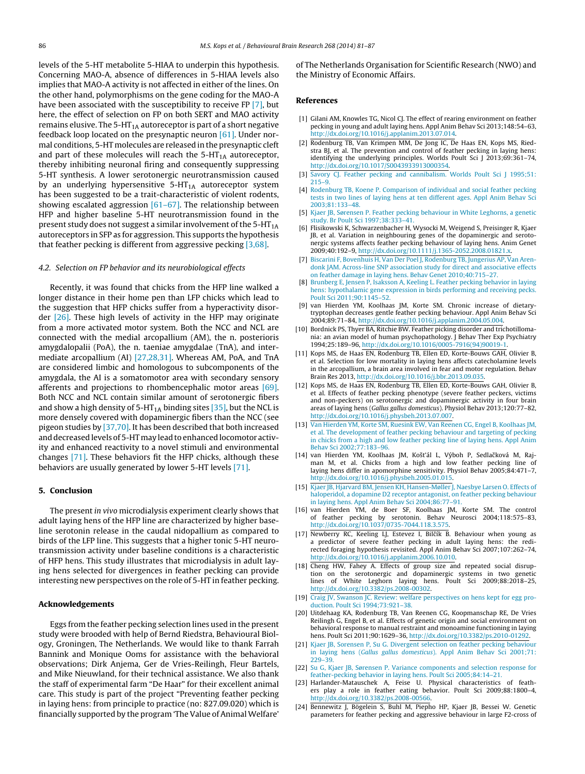<span id="page-5-0"></span>levels of the 5-HT metabolite 5-HIAA to underpin this hypothesis. Concerning MAO-A, absence of differences in 5-HIAA levels also implies that MAO-A activity is not affected in either of the lines. On the other hand, polymorphisms on the gene coding for the MAO-A have been associated with the susceptibility to receive FP [7], but here, the effect of selection on FP on both SERT and MAO activity remains elusive. The  $5-HT<sub>1A</sub>$  autoreceptor is part of a short negative feedback loop located on the presynaptic neuron [\[61\].](#page-6-0) Under normal conditions, 5-HT molecules are released in the presynaptic cleft and part of these molecules will reach the  $5-HT<sub>1A</sub>$  autoreceptor, thereby inhibiting neuronal firing and consequently suppressing 5-HT synthesis. A lower serotonergic neurotransmission caused by an underlying hypersensitive  $5-HT<sub>1A</sub>$  autoreceptor system has been suggested to be a trait-characteristic of violent rodents, showing escalated aggression  $[61–67]$ . The relationship between HFP and higher baseline 5-HT neurotransmission found in the present study does not suggest a similar involvement of the  $5-HT_{1A}$ autoreceptors in SFP as for aggression. This supports the hypothesis that feather pecking is different from aggressive pecking [3,68].

## 4.2. Selection on FP behavior and its neurobiological effects

Recently, it was found that chicks from the HFP line walked a longer distance in their home pen than LFP chicks which lead to the suggestion that HFP chicks suffer from a hyperactivity disorder [\[26\].](#page-6-0) These high levels of activity in the HFP may originate from a more activated motor system. Both the NCC and NCL are connected with the medial arcopallium (AM), the n. posterioris amygdalopalii (PoA), the n. taeniae amygdalae (TnA), and intermediate arcopallium (AI) [\[27,28,31\].](#page-6-0) Whereas AM, PoA, and TnA are considered limbic and homologous to subcomponents of the amygdala, the AI is a somatomotor area with secondary sensory afferents and projections to rhombencephalic motor areas [\[69\].](#page-6-0) Both NCC and NCL contain similar amount of serotonergic fibers and show a high density of 5-HT<sub>1A</sub> binding sites  $[35]$ , but the NCL is more densely covered with dopaminergic fibers than the NCC (see pigeon studies by [\[37,70\].](#page-6-0) It has been described that both increased and decreased levels of 5-HT may lead to enhanced locomotor activity and enhanced reactivity to a novel stimuli and environmental changes [\[71\].](#page-6-0) These behaviors fit the HFP chicks, although these behaviors are usually generated by lower 5-HT levels [\[71\].](#page-6-0)

## **5. Conclusion**

The present in vivo microdialysis experiment clearly shows that adult laying hens of the HFP line are characterized by higher baseline serotonin release in the caudal nidopallium as compared to birds of the LFP line. This suggests that a higher tonic 5-HT neurotransmission activity under baseline conditions is a characteristic of HFP hens. This study illustrates that microdialysis in adult laying hens selected for divergences in feather pecking can provide interesting new perspectives on the role of 5-HT in feather pecking.

#### **Acknowledgements**

Eggs from the feather pecking selection lines used in the present study were brooded with help of Bernd Riedstra, Behavioural Biology, Groningen, The Netherlands. We would like to thank Farrah Bannink and Monique Ooms for assistance with the behavioral observations; Dirk Anjema, Ger de Vries-Reilingh, Fleur Bartels, and Mike Nieuwland, for their technical assistance. We also thank the staff of experimental farm "De Haar" for their excellent animal care. This study is part of the project "Preventing feather pecking in laying hens: from principle to practice (no: 827.09.020) which is financially supported by the program 'The Value of Animal Welfare'

of The Netherlands Organisation for Scientific Research (NWO) and the Ministry of Economic Affairs.

#### **References**

- [1] Gilani AM, Knowles TG, Nicol CJ. The effect of rearing environment on feather pecking in young and adult laying hens. Appl Anim Behav Sci 2013;148:54–63, [http://dx.doi.org/10.1016/j.applanim.2013.07.014.](dx.doi.org/10.1016/j.applanim.2013.07.014)
- [2] Rodenburg TB, Van Krimpen MM, De Jong IC, De Haas EN, Kops MS, Riedstra BJ, et al. The prevention and control of feather pecking in laying hens: identifying the underlying principles. Worlds Poult Sci J 2013;69:361–74, [http://dx.doi.org/10.1017/S0043933913000354.](dx.doi.org/10.1017/S0043933913000354)
- [3] [Savory](http://refhub.elsevier.com/S0166-4328(14)00216-2/sbref0015) [CJ.](http://refhub.elsevier.com/S0166-4328(14)00216-2/sbref0015) [Feather](http://refhub.elsevier.com/S0166-4328(14)00216-2/sbref0015) [pecking](http://refhub.elsevier.com/S0166-4328(14)00216-2/sbref0015) [and](http://refhub.elsevier.com/S0166-4328(14)00216-2/sbref0015) [cannibalism.](http://refhub.elsevier.com/S0166-4328(14)00216-2/sbref0015) [Worlds](http://refhub.elsevier.com/S0166-4328(14)00216-2/sbref0015) [Poult](http://refhub.elsevier.com/S0166-4328(14)00216-2/sbref0015) [Sci](http://refhub.elsevier.com/S0166-4328(14)00216-2/sbref0015) [J](http://refhub.elsevier.com/S0166-4328(14)00216-2/sbref0015) [1995;51:](http://refhub.elsevier.com/S0166-4328(14)00216-2/sbref0015) [215–9.](http://refhub.elsevier.com/S0166-4328(14)00216-2/sbref0015)
- [4] [Rodenburg](http://refhub.elsevier.com/S0166-4328(14)00216-2/sbref0020) [TB,](http://refhub.elsevier.com/S0166-4328(14)00216-2/sbref0020) [Koene](http://refhub.elsevier.com/S0166-4328(14)00216-2/sbref0020) [P.](http://refhub.elsevier.com/S0166-4328(14)00216-2/sbref0020) [Comparison](http://refhub.elsevier.com/S0166-4328(14)00216-2/sbref0020) [of](http://refhub.elsevier.com/S0166-4328(14)00216-2/sbref0020) [individual](http://refhub.elsevier.com/S0166-4328(14)00216-2/sbref0020) [and](http://refhub.elsevier.com/S0166-4328(14)00216-2/sbref0020) [social](http://refhub.elsevier.com/S0166-4328(14)00216-2/sbref0020) [feather](http://refhub.elsevier.com/S0166-4328(14)00216-2/sbref0020) [pecking](http://refhub.elsevier.com/S0166-4328(14)00216-2/sbref0020) [tests](http://refhub.elsevier.com/S0166-4328(14)00216-2/sbref0020) [in](http://refhub.elsevier.com/S0166-4328(14)00216-2/sbref0020) [two](http://refhub.elsevier.com/S0166-4328(14)00216-2/sbref0020) [lines](http://refhub.elsevier.com/S0166-4328(14)00216-2/sbref0020) [of](http://refhub.elsevier.com/S0166-4328(14)00216-2/sbref0020) [laying](http://refhub.elsevier.com/S0166-4328(14)00216-2/sbref0020) [hens](http://refhub.elsevier.com/S0166-4328(14)00216-2/sbref0020) [at](http://refhub.elsevier.com/S0166-4328(14)00216-2/sbref0020) [ten](http://refhub.elsevier.com/S0166-4328(14)00216-2/sbref0020) [different](http://refhub.elsevier.com/S0166-4328(14)00216-2/sbref0020) [ages.](http://refhub.elsevier.com/S0166-4328(14)00216-2/sbref0020) [Appl](http://refhub.elsevier.com/S0166-4328(14)00216-2/sbref0020) [Anim](http://refhub.elsevier.com/S0166-4328(14)00216-2/sbref0020) [Behav](http://refhub.elsevier.com/S0166-4328(14)00216-2/sbref0020) [Sci](http://refhub.elsevier.com/S0166-4328(14)00216-2/sbref0020) [2003;81:133](http://refhub.elsevier.com/S0166-4328(14)00216-2/sbref0020)–[48.](http://refhub.elsevier.com/S0166-4328(14)00216-2/sbref0020)
- [5] [Kjaer](http://refhub.elsevier.com/S0166-4328(14)00216-2/sbref0025) [JB,](http://refhub.elsevier.com/S0166-4328(14)00216-2/sbref0025) [Sørensen](http://refhub.elsevier.com/S0166-4328(14)00216-2/sbref0025) [P.](http://refhub.elsevier.com/S0166-4328(14)00216-2/sbref0025) [Feather](http://refhub.elsevier.com/S0166-4328(14)00216-2/sbref0025) [pecking](http://refhub.elsevier.com/S0166-4328(14)00216-2/sbref0025) [behaviour](http://refhub.elsevier.com/S0166-4328(14)00216-2/sbref0025) [in](http://refhub.elsevier.com/S0166-4328(14)00216-2/sbref0025) [White](http://refhub.elsevier.com/S0166-4328(14)00216-2/sbref0025) [Leghorns,](http://refhub.elsevier.com/S0166-4328(14)00216-2/sbref0025) [a](http://refhub.elsevier.com/S0166-4328(14)00216-2/sbref0025) [genetic](http://refhub.elsevier.com/S0166-4328(14)00216-2/sbref0025) [study.](http://refhub.elsevier.com/S0166-4328(14)00216-2/sbref0025) [Br](http://refhub.elsevier.com/S0166-4328(14)00216-2/sbref0025) [Poult](http://refhub.elsevier.com/S0166-4328(14)00216-2/sbref0025) [Sci](http://refhub.elsevier.com/S0166-4328(14)00216-2/sbref0025) [1997;38:333–41.](http://refhub.elsevier.com/S0166-4328(14)00216-2/sbref0025)
- [6] Flisikowski K, Schwarzenbacher H, Wysocki M, Weigend S, Preisinger R, Kjaer JB, et al. Variation in neighbouring genes of the dopaminergic and serotonergic systems affects feather pecking behaviour of laying hens. Anim Genet 2009;40:192–9, [http://dx.doi.org/10.1111/j.1365-2052.2008.01821.x](dx.doi.org/10.1111/j.1365-2052.2008.01821.x).
- [7] [Biscarini](http://refhub.elsevier.com/S0166-4328(14)00216-2/sbref0035) [F,](http://refhub.elsevier.com/S0166-4328(14)00216-2/sbref0035) [Bovenhuis](http://refhub.elsevier.com/S0166-4328(14)00216-2/sbref0035) [H,](http://refhub.elsevier.com/S0166-4328(14)00216-2/sbref0035) [Van](http://refhub.elsevier.com/S0166-4328(14)00216-2/sbref0035) [Der](http://refhub.elsevier.com/S0166-4328(14)00216-2/sbref0035) [Poel](http://refhub.elsevier.com/S0166-4328(14)00216-2/sbref0035) [J,](http://refhub.elsevier.com/S0166-4328(14)00216-2/sbref0035) [Rodenburg](http://refhub.elsevier.com/S0166-4328(14)00216-2/sbref0035) [TB,](http://refhub.elsevier.com/S0166-4328(14)00216-2/sbref0035) [Jungerius](http://refhub.elsevier.com/S0166-4328(14)00216-2/sbref0035) [AP,](http://refhub.elsevier.com/S0166-4328(14)00216-2/sbref0035) [Van](http://refhub.elsevier.com/S0166-4328(14)00216-2/sbref0035) [Aren](http://refhub.elsevier.com/S0166-4328(14)00216-2/sbref0035)[donk](http://refhub.elsevier.com/S0166-4328(14)00216-2/sbref0035) [JAM.](http://refhub.elsevier.com/S0166-4328(14)00216-2/sbref0035) [Across-line](http://refhub.elsevier.com/S0166-4328(14)00216-2/sbref0035) [SNP](http://refhub.elsevier.com/S0166-4328(14)00216-2/sbref0035) [association](http://refhub.elsevier.com/S0166-4328(14)00216-2/sbref0035) [study](http://refhub.elsevier.com/S0166-4328(14)00216-2/sbref0035) [for](http://refhub.elsevier.com/S0166-4328(14)00216-2/sbref0035) [direct](http://refhub.elsevier.com/S0166-4328(14)00216-2/sbref0035) [and](http://refhub.elsevier.com/S0166-4328(14)00216-2/sbref0035) [associative](http://refhub.elsevier.com/S0166-4328(14)00216-2/sbref0035) [effects](http://refhub.elsevier.com/S0166-4328(14)00216-2/sbref0035) [on](http://refhub.elsevier.com/S0166-4328(14)00216-2/sbref0035) [feather](http://refhub.elsevier.com/S0166-4328(14)00216-2/sbref0035) [damage](http://refhub.elsevier.com/S0166-4328(14)00216-2/sbref0035) [in](http://refhub.elsevier.com/S0166-4328(14)00216-2/sbref0035) [laying](http://refhub.elsevier.com/S0166-4328(14)00216-2/sbref0035) [hens.](http://refhub.elsevier.com/S0166-4328(14)00216-2/sbref0035) [Behav](http://refhub.elsevier.com/S0166-4328(14)00216-2/sbref0035) [Genet](http://refhub.elsevier.com/S0166-4328(14)00216-2/sbref0035) [2010;40:715–27.](http://refhub.elsevier.com/S0166-4328(14)00216-2/sbref0035)
- [8] [Brunberg](http://refhub.elsevier.com/S0166-4328(14)00216-2/sbref0040) [E,](http://refhub.elsevier.com/S0166-4328(14)00216-2/sbref0040) [Jensen](http://refhub.elsevier.com/S0166-4328(14)00216-2/sbref0040) [P,](http://refhub.elsevier.com/S0166-4328(14)00216-2/sbref0040) [Isaksson](http://refhub.elsevier.com/S0166-4328(14)00216-2/sbref0040) [A,](http://refhub.elsevier.com/S0166-4328(14)00216-2/sbref0040) [Keeling](http://refhub.elsevier.com/S0166-4328(14)00216-2/sbref0040) [L.](http://refhub.elsevier.com/S0166-4328(14)00216-2/sbref0040) [Feather](http://refhub.elsevier.com/S0166-4328(14)00216-2/sbref0040) [pecking](http://refhub.elsevier.com/S0166-4328(14)00216-2/sbref0040) [behavior](http://refhub.elsevier.com/S0166-4328(14)00216-2/sbref0040) [in](http://refhub.elsevier.com/S0166-4328(14)00216-2/sbref0040) [laying](http://refhub.elsevier.com/S0166-4328(14)00216-2/sbref0040) [hens:](http://refhub.elsevier.com/S0166-4328(14)00216-2/sbref0040) [hypothalamic](http://refhub.elsevier.com/S0166-4328(14)00216-2/sbref0040) [gene](http://refhub.elsevier.com/S0166-4328(14)00216-2/sbref0040) [expression](http://refhub.elsevier.com/S0166-4328(14)00216-2/sbref0040) [in](http://refhub.elsevier.com/S0166-4328(14)00216-2/sbref0040) [birds](http://refhub.elsevier.com/S0166-4328(14)00216-2/sbref0040) [performing](http://refhub.elsevier.com/S0166-4328(14)00216-2/sbref0040) [and](http://refhub.elsevier.com/S0166-4328(14)00216-2/sbref0040) [receiving](http://refhub.elsevier.com/S0166-4328(14)00216-2/sbref0040) [pecks.](http://refhub.elsevier.com/S0166-4328(14)00216-2/sbref0040) [Poult](http://refhub.elsevier.com/S0166-4328(14)00216-2/sbref0040) [Sci](http://refhub.elsevier.com/S0166-4328(14)00216-2/sbref0040) [2011;90:1145–52.](http://refhub.elsevier.com/S0166-4328(14)00216-2/sbref0040)
- [9] van Hierden YM, Koolhaas JM, Korte SM. Chronic increase of dietarytryptophan decreases gentle feather pecking behaviour. Appl Anim Behav Sci 2004;89:71–84, [http://dx.doi.org/10.1016/j.applanim.2004.05.004.](dx.doi.org/10.1016/j.applanim.2004.05.004)
- [10] Bordnick PS, Thyer BA, Ritchie BW. Feather picking disorder and trichotillomania: an avian model of human psychopathology. J Behav Ther Exp Psychiatry 1994;25:189–96, [http://dx.doi.org/10.1016/0005-7916\(94\)90019-1.](dx.doi.org/10.1016/0005-7916(94)90019-1)
- [11] Kops MS, de Haas EN, Rodenburg TB, Ellen ED, Korte-Bouws GAH, Olivier B, et al. Selection for low mortality in laying hens affects catecholamine levels in the arcopallium, a brain area involved in fear and motor regulation. Behav Brain Res 2013, [http://dx.doi.org/10.1016/j.bbr.2013.09.035.](dx.doi.org/10.1016/j.bbr.2013.09.035)
- [12] Kops MS, de Haas EN, Rodenburg TB, Ellen ED, Korte-Bouws GAH, Olivier B, et al. Effects of feather pecking phenotype (severe feather peckers, victims and non-peckers) on serotonergic and dopaminergic activity in four brain areas of laying hens (Gallus gallus domesticus). Physiol Behav 2013;120:77–82, [http://dx.doi.org/10.1016/j.physbeh.2013.07.007.](dx.doi.org/10.1016/j.physbeh.2013.07.007)
- [13] [Van](http://refhub.elsevier.com/S0166-4328(14)00216-2/sbref0065) [Hierden](http://refhub.elsevier.com/S0166-4328(14)00216-2/sbref0065) [YM,](http://refhub.elsevier.com/S0166-4328(14)00216-2/sbref0065) [Korte](http://refhub.elsevier.com/S0166-4328(14)00216-2/sbref0065) [SM,](http://refhub.elsevier.com/S0166-4328(14)00216-2/sbref0065) [Ruesink](http://refhub.elsevier.com/S0166-4328(14)00216-2/sbref0065) [EW,](http://refhub.elsevier.com/S0166-4328(14)00216-2/sbref0065) [Van](http://refhub.elsevier.com/S0166-4328(14)00216-2/sbref0065) [Reenen](http://refhub.elsevier.com/S0166-4328(14)00216-2/sbref0065) [CG,](http://refhub.elsevier.com/S0166-4328(14)00216-2/sbref0065) [Engel](http://refhub.elsevier.com/S0166-4328(14)00216-2/sbref0065) [B,](http://refhub.elsevier.com/S0166-4328(14)00216-2/sbref0065) [Koolhaas](http://refhub.elsevier.com/S0166-4328(14)00216-2/sbref0065) [JM,](http://refhub.elsevier.com/S0166-4328(14)00216-2/sbref0065) [et](http://refhub.elsevier.com/S0166-4328(14)00216-2/sbref0065) [al.](http://refhub.elsevier.com/S0166-4328(14)00216-2/sbref0065) [The](http://refhub.elsevier.com/S0166-4328(14)00216-2/sbref0065) [development](http://refhub.elsevier.com/S0166-4328(14)00216-2/sbref0065) [of](http://refhub.elsevier.com/S0166-4328(14)00216-2/sbref0065) [feather](http://refhub.elsevier.com/S0166-4328(14)00216-2/sbref0065) [pecking](http://refhub.elsevier.com/S0166-4328(14)00216-2/sbref0065) [behaviour](http://refhub.elsevier.com/S0166-4328(14)00216-2/sbref0065) [and](http://refhub.elsevier.com/S0166-4328(14)00216-2/sbref0065) [targeting](http://refhub.elsevier.com/S0166-4328(14)00216-2/sbref0065) [of](http://refhub.elsevier.com/S0166-4328(14)00216-2/sbref0065) [pecking](http://refhub.elsevier.com/S0166-4328(14)00216-2/sbref0065) [in](http://refhub.elsevier.com/S0166-4328(14)00216-2/sbref0065) [chicks](http://refhub.elsevier.com/S0166-4328(14)00216-2/sbref0065) [from](http://refhub.elsevier.com/S0166-4328(14)00216-2/sbref0065) [a](http://refhub.elsevier.com/S0166-4328(14)00216-2/sbref0065) [high](http://refhub.elsevier.com/S0166-4328(14)00216-2/sbref0065) [and](http://refhub.elsevier.com/S0166-4328(14)00216-2/sbref0065) [low](http://refhub.elsevier.com/S0166-4328(14)00216-2/sbref0065) [feather](http://refhub.elsevier.com/S0166-4328(14)00216-2/sbref0065) [pecking](http://refhub.elsevier.com/S0166-4328(14)00216-2/sbref0065) [line](http://refhub.elsevier.com/S0166-4328(14)00216-2/sbref0065) [of](http://refhub.elsevier.com/S0166-4328(14)00216-2/sbref0065) [laying](http://refhub.elsevier.com/S0166-4328(14)00216-2/sbref0065) [hens.](http://refhub.elsevier.com/S0166-4328(14)00216-2/sbref0065) [Appl](http://refhub.elsevier.com/S0166-4328(14)00216-2/sbref0065) [Anim](http://refhub.elsevier.com/S0166-4328(14)00216-2/sbref0065) [Behav](http://refhub.elsevier.com/S0166-4328(14)00216-2/sbref0065) [Sci](http://refhub.elsevier.com/S0166-4328(14)00216-2/sbref0065) [2002;77:183–96.](http://refhub.elsevier.com/S0166-4328(14)00216-2/sbref0065)
- [14] van Hierden YM, Koolhaas JM, Košťál L, Výboh P, Sedlačková M, Rajman M, et al. Chicks from a high and low feather pecking line of laying hens differ in apomorphine sensitivity. Physiol Behav 2005;84:471–7, [http://dx.doi.org/10.1016/j.physbeh.2005.01.015.](dx.doi.org/10.1016/j.physbeh.2005.01.015)
- [15] [Kjaer](http://refhub.elsevier.com/S0166-4328(14)00216-2/sbref0075) [JB,](http://refhub.elsevier.com/S0166-4328(14)00216-2/sbref0075) [Hjarvard](http://refhub.elsevier.com/S0166-4328(14)00216-2/sbref0075) [BM,](http://refhub.elsevier.com/S0166-4328(14)00216-2/sbref0075) [Jensen](http://refhub.elsevier.com/S0166-4328(14)00216-2/sbref0075) [KH,](http://refhub.elsevier.com/S0166-4328(14)00216-2/sbref0075) [Hansen-Møller](http://refhub.elsevier.com/S0166-4328(14)00216-2/sbref0075) [J,](http://refhub.elsevier.com/S0166-4328(14)00216-2/sbref0075) [Naesbye](http://refhub.elsevier.com/S0166-4328(14)00216-2/sbref0075) [Larsen](http://refhub.elsevier.com/S0166-4328(14)00216-2/sbref0075) [O.](http://refhub.elsevier.com/S0166-4328(14)00216-2/sbref0075) [Effects](http://refhub.elsevier.com/S0166-4328(14)00216-2/sbref0075) [of](http://refhub.elsevier.com/S0166-4328(14)00216-2/sbref0075) [haloperidol,](http://refhub.elsevier.com/S0166-4328(14)00216-2/sbref0075) [a](http://refhub.elsevier.com/S0166-4328(14)00216-2/sbref0075) [dopamine](http://refhub.elsevier.com/S0166-4328(14)00216-2/sbref0075) [D2](http://refhub.elsevier.com/S0166-4328(14)00216-2/sbref0075) [receptor](http://refhub.elsevier.com/S0166-4328(14)00216-2/sbref0075) [antagonist,](http://refhub.elsevier.com/S0166-4328(14)00216-2/sbref0075) [on](http://refhub.elsevier.com/S0166-4328(14)00216-2/sbref0075) [feather](http://refhub.elsevier.com/S0166-4328(14)00216-2/sbref0075) [pecking](http://refhub.elsevier.com/S0166-4328(14)00216-2/sbref0075) [behaviour](http://refhub.elsevier.com/S0166-4328(14)00216-2/sbref0075) [in](http://refhub.elsevier.com/S0166-4328(14)00216-2/sbref0075) [laying](http://refhub.elsevier.com/S0166-4328(14)00216-2/sbref0075) [hens.](http://refhub.elsevier.com/S0166-4328(14)00216-2/sbref0075) [Appl](http://refhub.elsevier.com/S0166-4328(14)00216-2/sbref0075) [Anim](http://refhub.elsevier.com/S0166-4328(14)00216-2/sbref0075) [Behav](http://refhub.elsevier.com/S0166-4328(14)00216-2/sbref0075) [Sci](http://refhub.elsevier.com/S0166-4328(14)00216-2/sbref0075) [2004;86:77–91.](http://refhub.elsevier.com/S0166-4328(14)00216-2/sbref0075)
- [16] van Hierden YM, de Boer SF, Koolhaas JM, Korte SM. The control of feather pecking by serotonin. Behav Neurosci 2004;118:575–83, [http://dx.doi.org/10.1037/0735-7044.118.3.575](dx.doi.org/10.1037/0735-7044.118.3.575).
- [17] Newberry RC, Keeling LJ, Estevez I, Bilčík B. Behaviour when young as a predictor of severe feather pecking in adult laying hens: the redirected foraging hypothesis revisited. Appl Anim Behav Sci 2007;107:262–74, [http://dx.doi.org/10.1016/j.applanim.2006.10.010.](dx.doi.org/10.1016/j.applanim.2006.10.010)
- [18] Cheng HW, Fahey A. Effects of group size and repeated social disruption on the serotonergic and dopaminergic systems in two genetic lines of White Leghorn laying hens. Poult Sci 2009;88:2018–25, [http://dx.doi.org/10.3382/ps.2008-00302.](dx.doi.org/10.3382/ps.2008-00302)
- [19] [Craig](http://refhub.elsevier.com/S0166-4328(14)00216-2/sbref0095) [JV,](http://refhub.elsevier.com/S0166-4328(14)00216-2/sbref0095) [Swanson](http://refhub.elsevier.com/S0166-4328(14)00216-2/sbref0095) [JC.](http://refhub.elsevier.com/S0166-4328(14)00216-2/sbref0095) [Review:](http://refhub.elsevier.com/S0166-4328(14)00216-2/sbref0095) [welfare](http://refhub.elsevier.com/S0166-4328(14)00216-2/sbref0095) [perspectives](http://refhub.elsevier.com/S0166-4328(14)00216-2/sbref0095) [on](http://refhub.elsevier.com/S0166-4328(14)00216-2/sbref0095) [hens](http://refhub.elsevier.com/S0166-4328(14)00216-2/sbref0095) [kept](http://refhub.elsevier.com/S0166-4328(14)00216-2/sbref0095) [for](http://refhub.elsevier.com/S0166-4328(14)00216-2/sbref0095) [egg](http://refhub.elsevier.com/S0166-4328(14)00216-2/sbref0095) [pro](http://refhub.elsevier.com/S0166-4328(14)00216-2/sbref0095)[duction.](http://refhub.elsevier.com/S0166-4328(14)00216-2/sbref0095) [Poult](http://refhub.elsevier.com/S0166-4328(14)00216-2/sbref0095) [Sci](http://refhub.elsevier.com/S0166-4328(14)00216-2/sbref0095) [1994;73:921–38.](http://refhub.elsevier.com/S0166-4328(14)00216-2/sbref0095)
- [20] Uitdehaag KA, Rodenburg TB, Van Reenen CG, Koopmanschap RE, De Vries Reilingh G, Engel B, et al. Effects of genetic origin and social environment on behavioral response to manual restraint and monoamine functioning in laying hens. Poult Sci 2011;90:1629–36, [http://dx.doi.org/10.3382/ps.2010-01292](dx.doi.org/10.3382/ps.2010-01292).
- [21] [Kjaer](http://refhub.elsevier.com/S0166-4328(14)00216-2/sbref0105) [JB,](http://refhub.elsevier.com/S0166-4328(14)00216-2/sbref0105) [Sorensen](http://refhub.elsevier.com/S0166-4328(14)00216-2/sbref0105) [P,](http://refhub.elsevier.com/S0166-4328(14)00216-2/sbref0105) [Su](http://refhub.elsevier.com/S0166-4328(14)00216-2/sbref0105) [G.](http://refhub.elsevier.com/S0166-4328(14)00216-2/sbref0105) [Divergent](http://refhub.elsevier.com/S0166-4328(14)00216-2/sbref0105) [selection](http://refhub.elsevier.com/S0166-4328(14)00216-2/sbref0105) [on](http://refhub.elsevier.com/S0166-4328(14)00216-2/sbref0105) [feather](http://refhub.elsevier.com/S0166-4328(14)00216-2/sbref0105) [pecking](http://refhub.elsevier.com/S0166-4328(14)00216-2/sbref0105) [behaviour](http://refhub.elsevier.com/S0166-4328(14)00216-2/sbref0105) [in](http://refhub.elsevier.com/S0166-4328(14)00216-2/sbref0105) [laying](http://refhub.elsevier.com/S0166-4328(14)00216-2/sbref0105) [hens](http://refhub.elsevier.com/S0166-4328(14)00216-2/sbref0105) [\(](http://refhub.elsevier.com/S0166-4328(14)00216-2/sbref0105)[Gallus](http://refhub.elsevier.com/S0166-4328(14)00216-2/sbref0105) [gallus](http://refhub.elsevier.com/S0166-4328(14)00216-2/sbref0105) [domesticus](http://refhub.elsevier.com/S0166-4328(14)00216-2/sbref0105)[\).](http://refhub.elsevier.com/S0166-4328(14)00216-2/sbref0105) [Appl](http://refhub.elsevier.com/S0166-4328(14)00216-2/sbref0105) [Anim](http://refhub.elsevier.com/S0166-4328(14)00216-2/sbref0105) [Behav](http://refhub.elsevier.com/S0166-4328(14)00216-2/sbref0105) [Sci](http://refhub.elsevier.com/S0166-4328(14)00216-2/sbref0105) [2001;71:](http://refhub.elsevier.com/S0166-4328(14)00216-2/sbref0105) [229](http://refhub.elsevier.com/S0166-4328(14)00216-2/sbref0105)–[39.](http://refhub.elsevier.com/S0166-4328(14)00216-2/sbref0105)
- [22] [Su](http://refhub.elsevier.com/S0166-4328(14)00216-2/sbref0110) [G,](http://refhub.elsevier.com/S0166-4328(14)00216-2/sbref0110) [Kjaer](http://refhub.elsevier.com/S0166-4328(14)00216-2/sbref0110) [JB,](http://refhub.elsevier.com/S0166-4328(14)00216-2/sbref0110) [Sørensen](http://refhub.elsevier.com/S0166-4328(14)00216-2/sbref0110) [P.](http://refhub.elsevier.com/S0166-4328(14)00216-2/sbref0110) [Variance](http://refhub.elsevier.com/S0166-4328(14)00216-2/sbref0110) [components](http://refhub.elsevier.com/S0166-4328(14)00216-2/sbref0110) [and](http://refhub.elsevier.com/S0166-4328(14)00216-2/sbref0110) [selection](http://refhub.elsevier.com/S0166-4328(14)00216-2/sbref0110) [response](http://refhub.elsevier.com/S0166-4328(14)00216-2/sbref0110) [for](http://refhub.elsevier.com/S0166-4328(14)00216-2/sbref0110) [feather-pecking](http://refhub.elsevier.com/S0166-4328(14)00216-2/sbref0110) [behavior](http://refhub.elsevier.com/S0166-4328(14)00216-2/sbref0110) [in](http://refhub.elsevier.com/S0166-4328(14)00216-2/sbref0110) [laying](http://refhub.elsevier.com/S0166-4328(14)00216-2/sbref0110) [hens.](http://refhub.elsevier.com/S0166-4328(14)00216-2/sbref0110) [Poult](http://refhub.elsevier.com/S0166-4328(14)00216-2/sbref0110) [Sci](http://refhub.elsevier.com/S0166-4328(14)00216-2/sbref0110) [2005;84:14–21.](http://refhub.elsevier.com/S0166-4328(14)00216-2/sbref0110)
- [23] Harlander-Matauschek A, Feise U. Physical characteristics of feathers play a role in feather eating behavior. Poult Sci 2009;88:1800–4, [http://dx.doi.org/10.3382/ps.2008-00566.](dx.doi.org/10.3382/ps.2008-00566)
- [24] Bennewitz J, Bögelein S, Buhl M, Piepho HP, Kjaer JB, Bessei W. Genetic parameters for feather pecking and aggressive behaviour in large F2-cross of